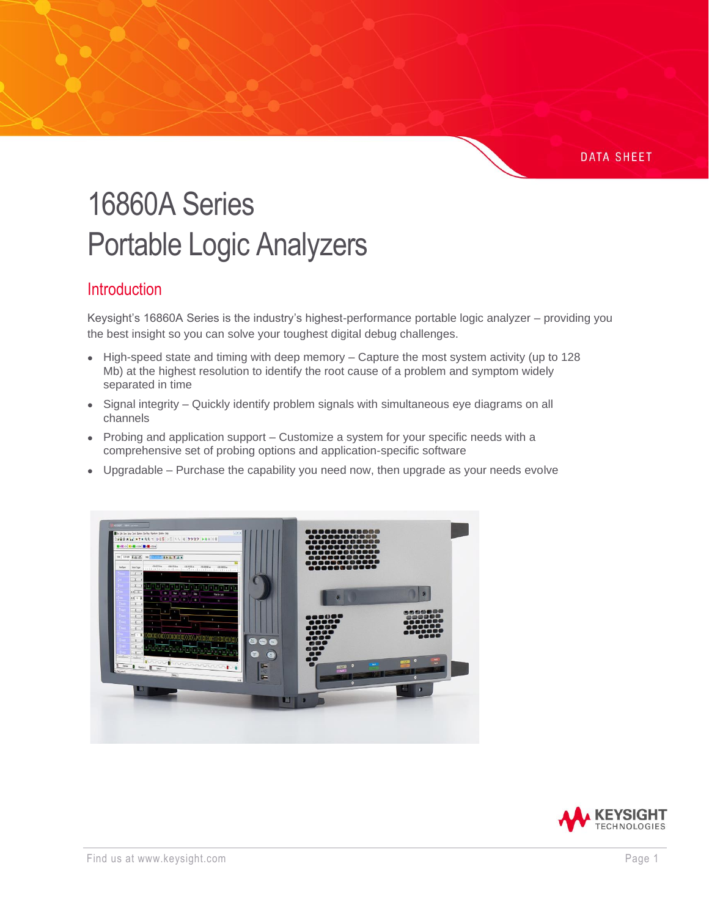#### **DATA SHEET**

# 16860A Series Portable Logic Analyzers

#### **Introduction**

Keysight's 16860A Series is the industry's highest-performance portable logic analyzer – providing you the best insight so you can solve your toughest digital debug challenges.

- High-speed state and timing with deep memory Capture the most system activity (up to 128 Mb) at the highest resolution to identify the root cause of a problem and symptom widely separated in time
- Signal integrity Quickly identify problem signals with simultaneous eye diagrams on all channels
- Probing and application support Customize a system for your specific needs with a comprehensive set of probing options and application-specific software
- Upgradable Purchase the capability you need now, then upgrade as your needs evolve



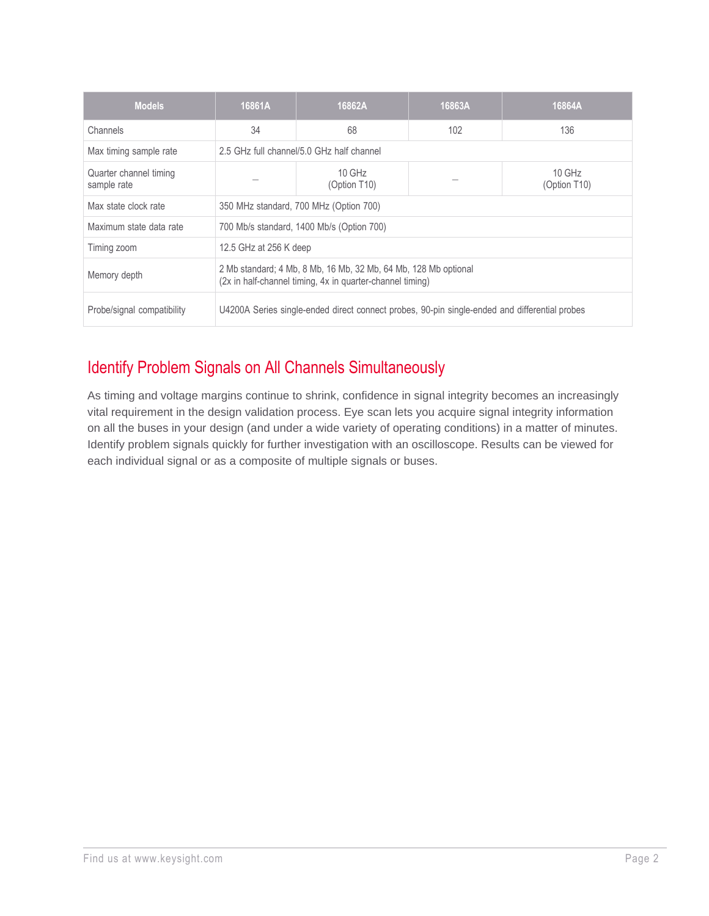| <b>Models</b>                         | 16861A                                                                                                                       | 16862A                                    | 16863A | 16864A                   |
|---------------------------------------|------------------------------------------------------------------------------------------------------------------------------|-------------------------------------------|--------|--------------------------|
| Channels                              | 34                                                                                                                           | 68                                        | 102    | 136                      |
| Max timing sample rate                |                                                                                                                              | 2.5 GHz full channel/5.0 GHz half channel |        |                          |
| Quarter channel timing<br>sample rate |                                                                                                                              | $10$ GHz<br>(Option T10)                  |        | $10$ GHz<br>(Option T10) |
| Max state clock rate                  |                                                                                                                              | 350 MHz standard, 700 MHz (Option 700)    |        |                          |
| Maximum state data rate               |                                                                                                                              | 700 Mb/s standard, 1400 Mb/s (Option 700) |        |                          |
| Timing zoom                           |                                                                                                                              | 12.5 GHz at 256 K deep                    |        |                          |
| Memory depth                          | 2 Mb standard; 4 Mb, 8 Mb, 16 Mb, 32 Mb, 64 Mb, 128 Mb optional<br>(2x in half-channel timing, 4x in quarter-channel timing) |                                           |        |                          |
| Probe/signal compatibility            | U4200A Series single-ended direct connect probes, 90-pin single-ended and differential probes                                |                                           |        |                          |

## Identify Problem Signals on All Channels Simultaneously

As timing and voltage margins continue to shrink, confidence in signal integrity becomes an increasingly vital requirement in the design validation process. Eye scan lets you acquire signal integrity information on all the buses in your design (and under a wide variety of operating conditions) in a matter of minutes. Identify problem signals quickly for further investigation with an oscilloscope. Results can be viewed for each individual signal or as a composite of multiple signals or buses.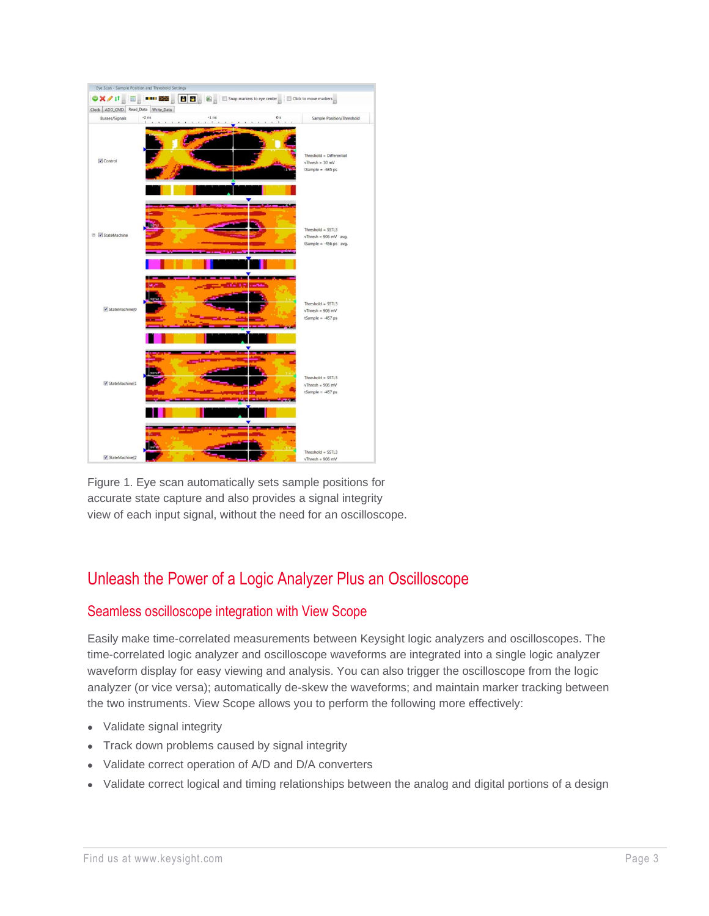

Figure 1. Eye scan automatically sets sample positions for accurate state capture and also provides a signal integrity view of each input signal, without the need for an oscilloscope.

## Unleash the Power of a Logic Analyzer Plus an Oscilloscope

#### Seamless oscilloscope integration with View Scope

Easily make time-correlated measurements between Keysight logic analyzers and oscilloscopes. The time-correlated logic analyzer and oscilloscope waveforms are integrated into a single logic analyzer waveform display for easy viewing and analysis. You can also trigger the oscilloscope from the logic analyzer (or vice versa); automatically de-skew the waveforms; and maintain marker tracking between the two instruments. View Scope allows you to perform the following more effectively:

- Validate signal integrity
- Track down problems caused by signal integrity
- Validate correct operation of A/D and D/A converters
- Validate correct logical and timing relationships between the analog and digital portions of a design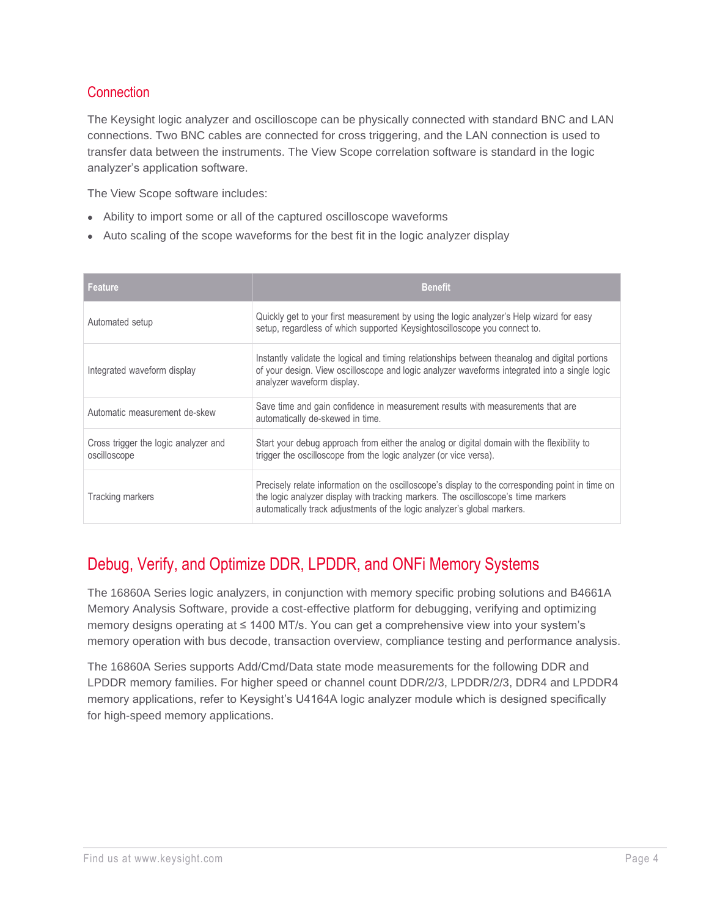#### **Connection**

The Keysight logic analyzer and oscilloscope can be physically connected with standard BNC and LAN connections. Two BNC cables are connected for cross triggering, and the LAN connection is used to transfer data between the instruments. The View Scope correlation software is standard in the logic analyzer's application software.

The View Scope software includes:

- Ability to import some or all of the captured oscilloscope waveforms
- Auto scaling of the scope waveforms for the best fit in the logic analyzer display

| <b>Feature</b>                                       | <b>Benefit</b>                                                                                                                                                                                                                                                   |
|------------------------------------------------------|------------------------------------------------------------------------------------------------------------------------------------------------------------------------------------------------------------------------------------------------------------------|
| Automated setup                                      | Quickly get to your first measurement by using the logic analyzer's Help wizard for easy<br>setup, regardless of which supported Keysightoscilloscope you connect to.                                                                                            |
| Integrated waveform display                          | Instantly validate the logical and timing relationships between theanalog and digital portions<br>of your design. View oscilloscope and logic analyzer waveforms integrated into a single logic<br>analyzer waveform display.                                    |
| Automatic measurement de-skew                        | Save time and gain confidence in measurement results with measurements that are<br>automatically de-skewed in time.                                                                                                                                              |
| Cross trigger the logic analyzer and<br>oscilloscope | Start your debug approach from either the analog or digital domain with the flexibility to<br>trigger the oscilloscope from the logic analyzer (or vice versa).                                                                                                  |
| Tracking markers                                     | Precisely relate information on the oscilloscope's display to the corresponding point in time on<br>the logic analyzer display with tracking markers. The oscilloscope's time markers<br>automatically track adjustments of the logic analyzer's global markers. |

## Debug, Verify, and Optimize DDR, LPDDR, and ONFi Memory Systems

The 16860A Series logic analyzers, in conjunction with memory specific probing solutions and B4661A Memory Analysis Software, provide a cost-effective platform for debugging, verifying and optimizing memory designs operating at ≤ 1400 MT/s. You can get a comprehensive view into your system's memory operation with bus decode, transaction overview, compliance testing and performance analysis.

The 16860A Series supports Add/Cmd/Data state mode measurements for the following DDR and LPDDR memory families. For higher speed or channel count DDR/2/3, LPDDR/2/3, DDR4 and LPDDR4 memory applications, refer to Keysight's U4164A logic analyzer module which is designed specifically for high-speed memory applications.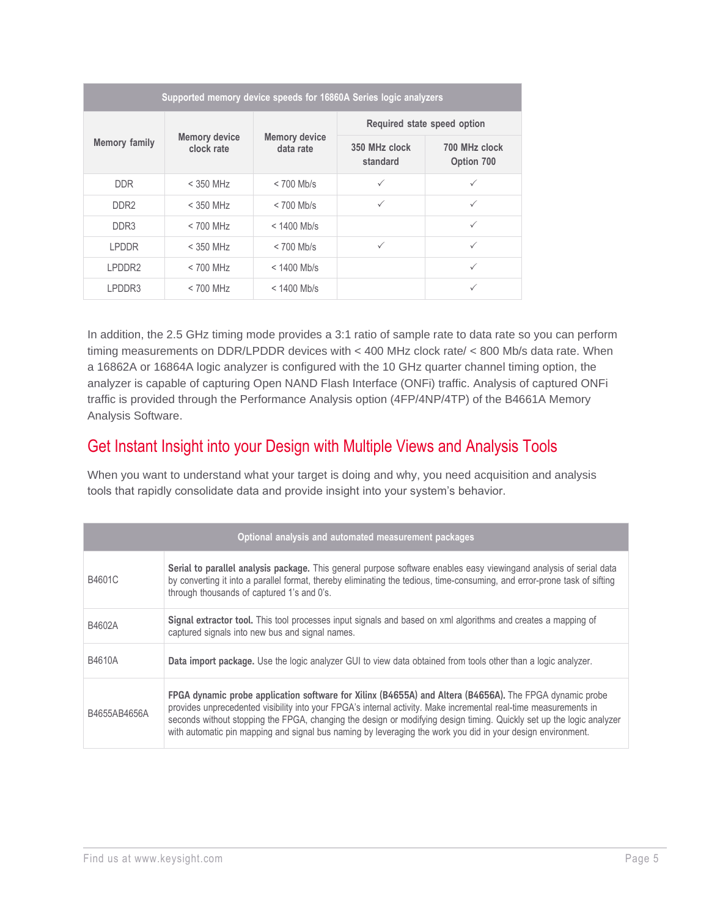| Supported memory device speeds for 16860A Series logic analyzers |                                    |                                   |                             |                             |
|------------------------------------------------------------------|------------------------------------|-----------------------------------|-----------------------------|-----------------------------|
|                                                                  |                                    | <b>Memory device</b><br>data rate | Required state speed option |                             |
| <b>Memory family</b>                                             | <b>Memory device</b><br>clock rate |                                   | 350 MHz clock<br>standard   | 700 MHz clock<br>Option 700 |
| <b>DDR</b>                                                       | $<$ 350 MHz                        | $< 700$ Mb/s                      | $\checkmark$                | ✓                           |
| DDR <sub>2</sub>                                                 | $<$ 350 MH $<$                     | $< 700$ Mb/s                      | $\checkmark$                | ✓                           |
| DDR3                                                             | $< 700$ MHz                        | $< 1400$ Mb/s                     |                             | $\checkmark$                |
| I PDDR                                                           | $<$ 350 MH <sub>z</sub>            | $< 700$ Mb/s                      | ✓                           | ✓                           |
| I PDDR <sub>2</sub>                                              | $< 700$ MH <sub>z</sub>            | $< 1400$ Mb/s                     |                             | $\checkmark$                |
| LPDDR3                                                           | $< 700$ MHz                        | $< 1400$ Mb/s                     |                             | ✓                           |

In addition, the 2.5 GHz timing mode provides a 3:1 ratio of sample rate to data rate so you can perform timing measurements on DDR/LPDDR devices with < 400 MHz clock rate/ < 800 Mb/s data rate. When a 16862A or 16864A logic analyzer is configured with the 10 GHz quarter channel timing option, the analyzer is capable of capturing Open NAND Flash Interface (ONFi) traffic. Analysis of captured ONFi traffic is provided through the Performance Analysis option (4FP/4NP/4TP) of the B4661A Memory Analysis Software.

#### Get Instant Insight into your Design with Multiple Views and Analysis Tools

When you want to understand what your target is doing and why, you need acquisition and analysis tools that rapidly consolidate data and provide insight into your system's behavior.

| Optional analysis and automated measurement packages |                                                                                                                                                                                                                                                                                                                                                                                                                                                                    |  |
|------------------------------------------------------|--------------------------------------------------------------------------------------------------------------------------------------------------------------------------------------------------------------------------------------------------------------------------------------------------------------------------------------------------------------------------------------------------------------------------------------------------------------------|--|
| B4601C                                               | Serial to parallel analysis package. This general purpose software enables easy viewingand analysis of serial data<br>by converting it into a parallel format, thereby eliminating the tedious, time-consuming, and error-prone task of sifting<br>through thousands of captured 1's and 0's.                                                                                                                                                                      |  |
| B4602A                                               | Signal extractor tool. This tool processes input signals and based on xml algorithms and creates a mapping of<br>captured signals into new bus and signal names.                                                                                                                                                                                                                                                                                                   |  |
| B4610A                                               | Data import package. Use the logic analyzer GUI to view data obtained from tools other than a logic analyzer.                                                                                                                                                                                                                                                                                                                                                      |  |
| B4655AB4656A                                         | FPGA dynamic probe application software for Xilinx (B4655A) and Altera (B4656A). The FPGA dynamic probe<br>provides unprecedented visibility into your FPGA's internal activity. Make incremental real-time measurements in<br>seconds without stopping the FPGA, changing the design or modifying design timing. Quickly set up the logic analyzer<br>with automatic pin mapping and signal bus naming by leveraging the work you did in your design environment. |  |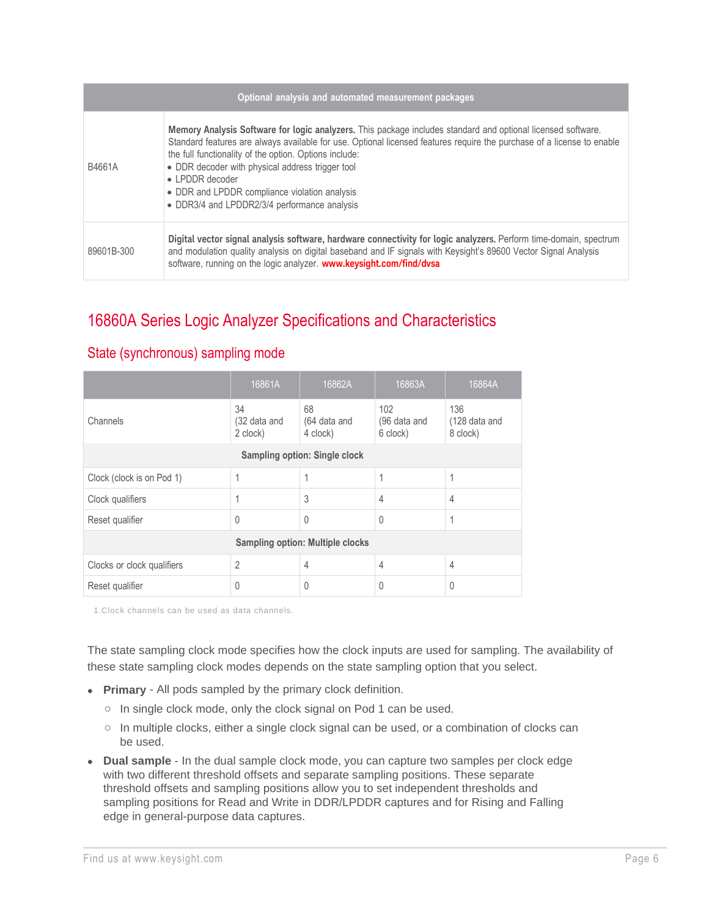| Optional analysis and automated measurement packages |                                                                                                                                                                                                                                                                                                                                                                                                                                                                          |  |
|------------------------------------------------------|--------------------------------------------------------------------------------------------------------------------------------------------------------------------------------------------------------------------------------------------------------------------------------------------------------------------------------------------------------------------------------------------------------------------------------------------------------------------------|--|
| B4661A                                               | Memory Analysis Software for logic analyzers. This package includes standard and optional licensed software.<br>Standard features are always available for use. Optional licensed features require the purchase of a license to enable<br>the full functionality of the option. Options include:<br>• DDR decoder with physical address trigger tool<br>• LPDDR decoder<br>• DDR and LPDDR compliance violation analysis<br>• DDR3/4 and LPDDR2/3/4 performance analysis |  |
| 89601B-300                                           | Digital vector signal analysis software, hardware connectivity for logic analyzers. Perform time-domain, spectrum<br>and modulation quality analysis on digital baseband and IF signals with Keysight's 89600 Vector Signal Analysis<br>software, running on the logic analyzer. www.keysight.com/find/dvsa                                                                                                                                                              |  |

## 16860A Series Logic Analyzer Specifications and Characteristics

|                                         | 16861A                         | 16862A                               | 16863A                          | 16864A                           |
|-----------------------------------------|--------------------------------|--------------------------------------|---------------------------------|----------------------------------|
| Channels                                | 34<br>(32 data and<br>2 clock) | 68<br>(64 data and<br>4 clock)       | 102<br>(96 data and<br>6 clock) | 136<br>(128 data and<br>8 clock) |
|                                         |                                | <b>Sampling option: Single clock</b> |                                 |                                  |
| Clock (clock is on Pod 1)               | 1                              |                                      | 1                               | 1                                |
| Clock qualifiers                        | 1                              | 3                                    | $\overline{4}$                  | $\overline{4}$                   |
| Reset qualifier                         | 0                              | 0                                    | $\theta$                        |                                  |
| <b>Sampling option: Multiple clocks</b> |                                |                                      |                                 |                                  |
| Clocks or clock qualifiers              | $\overline{2}$                 | 4                                    | $\overline{4}$                  | $\overline{4}$                   |
| Reset qualifier                         | 0                              | 0                                    | 0                               | $\Omega$                         |

#### State (synchronous) sampling mode

1.Clock channels can be used as data channels.

The state sampling clock mode specifies how the clock inputs are used for sampling. The availability of these state sampling clock modes depends on the state sampling option that you select.

- **Primary** All pods sampled by the primary clock definition.
	- o In single clock mode, only the clock signal on Pod 1 can be used.
	- o In multiple clocks, either a single clock signal can be used, or a combination of clocks can be used.
- **Dual sample** In the dual sample clock mode, you can capture two samples per clock edge with two different threshold offsets and separate sampling positions. These separate threshold offsets and sampling positions allow you to set independent thresholds and sampling positions for Read and Write in DDR/LPDDR captures and for Rising and Falling edge in general-purpose data captures.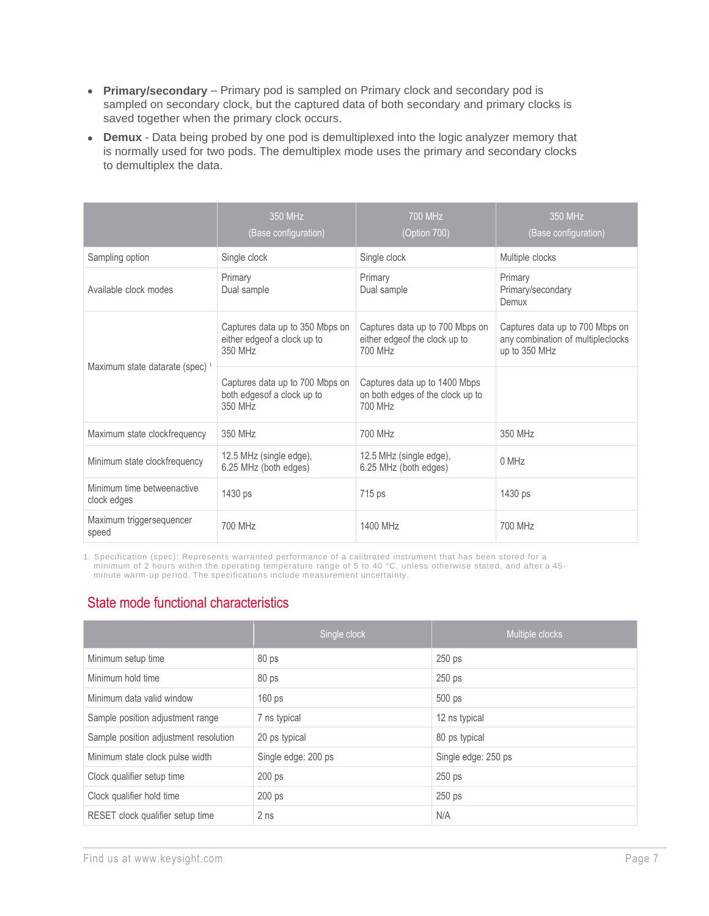- **Primary/secondary** Primary pod is sampled on Primary clock and secondary pod is sampled on secondary clock, but the captured data of both secondary and primary clocks is saved together when the primary clock occurs.
- **Demux** Data being probed by one pod is demultiplexed into the logic analyzer memory that is normally used for two pods. The demultiplex mode uses the primary and secondary clocks to demultiplex the data.

|                                            | 350 MHz<br>(Base configuration)                                            | 700 MHz<br>(Option 700)                                                      | 350 MHz<br>(Base configuration)                                                       |
|--------------------------------------------|----------------------------------------------------------------------------|------------------------------------------------------------------------------|---------------------------------------------------------------------------------------|
| Sampling option                            | Single clock                                                               | Single clock                                                                 | Multiple clocks                                                                       |
| Available clock modes                      | Primary<br>Dual sample                                                     | Primary<br>Dual sample                                                       | Primary<br>Primary/secondary<br>Demux                                                 |
| Maximum state datarate (spec) <sup>1</sup> | Captures data up to 350 Mbps on<br>either edge of a clock up to<br>350 MHz | Captures data up to 700 Mbps on<br>either edge of the clock up to<br>700 MHz | Captures data up to 700 Mbps on<br>any combination of multipleclocks<br>up to 350 MHz |
|                                            | Captures data up to 700 Mbps on<br>both edges of a clock up to<br>350 MHz  | Captures data up to 1400 Mbps<br>on both edges of the clock up to<br>700 MHz |                                                                                       |
| Maximum state clockfrequency               | 350 MHz                                                                    | 700 MHz                                                                      | 350 MHz                                                                               |
| Minimum state clockfrequency               | 12.5 MHz (single edge),<br>6.25 MHz (both edges)                           | 12.5 MHz (single edge),<br>6.25 MHz (both edges)                             | 0 MHz                                                                                 |
| Minimum time betweenactive<br>clock edges  | 1430 ps                                                                    | 715 ps                                                                       | 1430 ps                                                                               |
| Maximum triggersequencer<br>speed          | 700 MHz                                                                    | 1400 MHz                                                                     | 700 MHz                                                                               |

1. Specification (spec): Represents warranted performance of a calibrated instrument that has been stored for a minimum of 2 hours within the operating temperature range of 5 to 40 °C, unless otherwise stated, and after a 45 minute warm-up period. The specifications include measurement uncertainty.

#### State mode functional characteristics

|                                       | Single clock        | Multiple clocks     |
|---------------------------------------|---------------------|---------------------|
| Minimum setup time                    | 80 <sub>ps</sub>    | 250 ps              |
| Minimum hold time                     | 80 <sub>ps</sub>    | 250 ps              |
| Minimum data valid window             | 160 ps              | 500 ps              |
| Sample position adjustment range      | 7 ns typical        | 12 ns typical       |
| Sample position adjustment resolution | 20 ps typical       | 80 ps typical       |
| Minimum state clock pulse width       | Single edge: 200 ps | Single edge: 250 ps |
| Clock qualifier setup time            | $200$ ps            | 250 ps              |
| Clock qualifier hold time             | 200 ps              | 250 ps              |
| RESET clock qualifier setup time      | 2 <sub>ns</sub>     | N/A                 |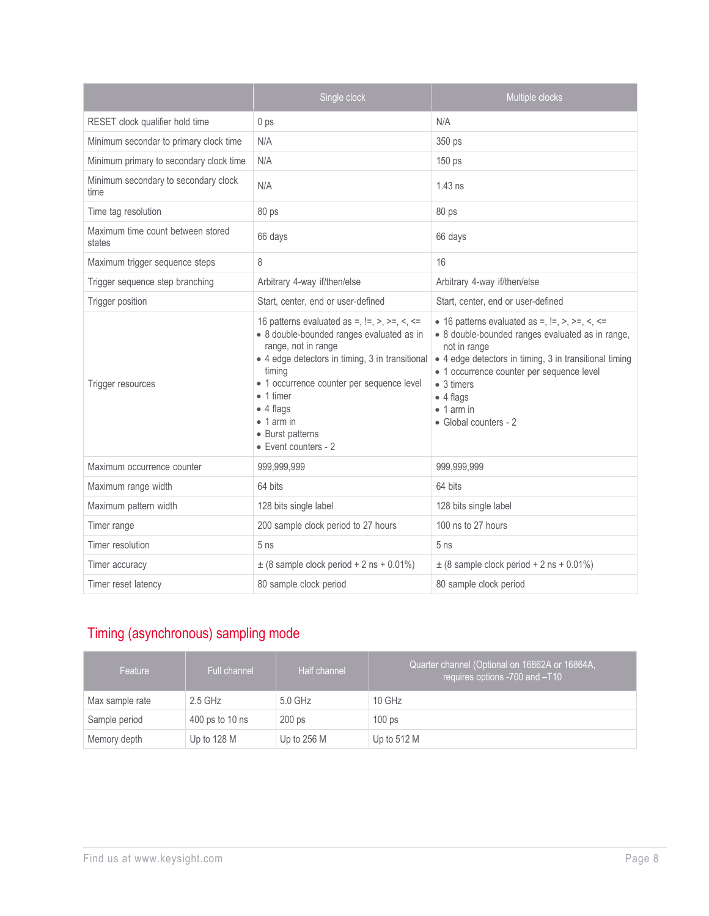|                                              | Single clock                                                                                                                                                                                                                                                                                                                              | Multiple clocks                                                                                                                                                                                                                                                                                                        |
|----------------------------------------------|-------------------------------------------------------------------------------------------------------------------------------------------------------------------------------------------------------------------------------------------------------------------------------------------------------------------------------------------|------------------------------------------------------------------------------------------------------------------------------------------------------------------------------------------------------------------------------------------------------------------------------------------------------------------------|
| RESET clock qualifier hold time              | 0 ps                                                                                                                                                                                                                                                                                                                                      | N/A                                                                                                                                                                                                                                                                                                                    |
| Minimum secondar to primary clock time       | N/A                                                                                                                                                                                                                                                                                                                                       | 350 ps                                                                                                                                                                                                                                                                                                                 |
| Minimum primary to secondary clock time      | N/A                                                                                                                                                                                                                                                                                                                                       | 150 <sub>ps</sub>                                                                                                                                                                                                                                                                                                      |
| Minimum secondary to secondary clock<br>time | N/A                                                                                                                                                                                                                                                                                                                                       | $1.43$ ns                                                                                                                                                                                                                                                                                                              |
| Time tag resolution                          | 80 ps                                                                                                                                                                                                                                                                                                                                     | 80 ps                                                                                                                                                                                                                                                                                                                  |
| Maximum time count between stored<br>states  | 66 days                                                                                                                                                                                                                                                                                                                                   | 66 days                                                                                                                                                                                                                                                                                                                |
| Maximum trigger sequence steps               | 8                                                                                                                                                                                                                                                                                                                                         | 16                                                                                                                                                                                                                                                                                                                     |
| Trigger sequence step branching              | Arbitrary 4-way if/then/else                                                                                                                                                                                                                                                                                                              | Arbitrary 4-way if/then/else                                                                                                                                                                                                                                                                                           |
| Trigger position                             | Start, center, end or user-defined                                                                                                                                                                                                                                                                                                        | Start, center, end or user-defined                                                                                                                                                                                                                                                                                     |
| Trigger resources                            | 16 patterns evaluated as =, $!=, >, >=, <, \le$<br>• 8 double-bounded ranges evaluated as in<br>range, not in range<br>• 4 edge detectors in timing, 3 in transitional<br>timing<br>• 1 occurrence counter per sequence level<br>$\bullet$ 1 timer<br>$\bullet$ 4 flags<br>$\bullet$ 1 arm in<br>• Burst patterns<br>• Event counters - 2 | • 16 patterns evaluated as =, $!=, >, >=, <, \le$<br>• 8 double-bounded ranges evaluated as in range,<br>not in range<br>• 4 edge detectors in timing, 3 in transitional timing<br>• 1 occurrence counter per sequence level<br>$\bullet$ 3 timers<br>$\bullet$ 4 flags<br>$\bullet$ 1 arm in<br>• Global counters - 2 |
| Maximum occurrence counter                   | 999,999,999                                                                                                                                                                                                                                                                                                                               | 999,999,999                                                                                                                                                                                                                                                                                                            |
| Maximum range width                          | 64 bits                                                                                                                                                                                                                                                                                                                                   | 64 bits                                                                                                                                                                                                                                                                                                                |
| Maximum pattern width                        | 128 bits single label                                                                                                                                                                                                                                                                                                                     | 128 bits single label                                                                                                                                                                                                                                                                                                  |
| Timer range                                  | 200 sample clock period to 27 hours                                                                                                                                                                                                                                                                                                       | 100 ns to 27 hours                                                                                                                                                                                                                                                                                                     |
| Timer resolution                             | 5 <sub>ns</sub>                                                                                                                                                                                                                                                                                                                           | 5 <sub>ns</sub>                                                                                                                                                                                                                                                                                                        |
| Timer accuracy                               | $\pm$ (8 sample clock period + 2 ns + 0.01%)                                                                                                                                                                                                                                                                                              | $\pm$ (8 sample clock period + 2 ns + 0.01%)                                                                                                                                                                                                                                                                           |
| Timer reset latency                          | 80 sample clock period                                                                                                                                                                                                                                                                                                                    | 80 sample clock period                                                                                                                                                                                                                                                                                                 |

## Timing (asynchronous) sampling mode

| Feature         | <b>Full channel</b> | Half channel  | Quarter channel (Optional on 16862A or 16864A,<br>requires options -700 and -T10 |
|-----------------|---------------------|---------------|----------------------------------------------------------------------------------|
| Max sample rate | $2.5$ GHz           | $5.0$ GHz     | $10$ GHz                                                                         |
| Sample period   | 400 ps to 10 ns     | $200$ ps      | 100 <sub>ps</sub>                                                                |
| Memory depth    | Up to 128 M         | Up to $256$ M | Up to $512 M$                                                                    |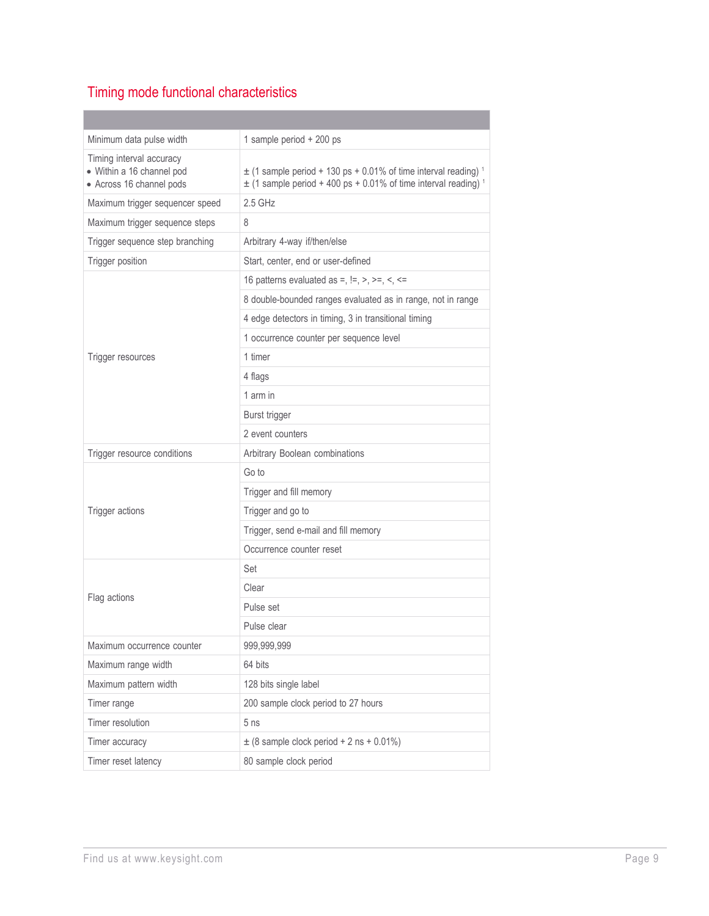## Timing mode functional characteristics

| Minimum data pulse width                                                          | 1 sample period + 200 ps                                                                                                                                         |
|-----------------------------------------------------------------------------------|------------------------------------------------------------------------------------------------------------------------------------------------------------------|
| Timing interval accuracy<br>• Within a 16 channel pod<br>• Across 16 channel pods | $\pm$ (1 sample period + 130 ps + 0.01% of time interval reading) <sup>1</sup><br>$\pm$ (1 sample period + 400 ps + 0.01% of time interval reading) <sup>1</sup> |
| Maximum trigger sequencer speed                                                   | $2.5$ GHz                                                                                                                                                        |
| Maximum trigger sequence steps                                                    | 8                                                                                                                                                                |
| Trigger sequence step branching                                                   | Arbitrary 4-way if/then/else                                                                                                                                     |
| Trigger position                                                                  | Start, center, end or user-defined                                                                                                                               |
|                                                                                   | 16 patterns evaluated as =, $!=, >, >=, <, \le$                                                                                                                  |
|                                                                                   | 8 double-bounded ranges evaluated as in range, not in range                                                                                                      |
|                                                                                   | 4 edge detectors in timing, 3 in transitional timing                                                                                                             |
|                                                                                   | 1 occurrence counter per sequence level                                                                                                                          |
| Trigger resources                                                                 | 1 timer                                                                                                                                                          |
|                                                                                   | 4 flags                                                                                                                                                          |
|                                                                                   | 1 arm in                                                                                                                                                         |
|                                                                                   | Burst trigger                                                                                                                                                    |
|                                                                                   | 2 event counters                                                                                                                                                 |
| Trigger resource conditions                                                       | Arbitrary Boolean combinations                                                                                                                                   |
|                                                                                   | Go to                                                                                                                                                            |
|                                                                                   | Trigger and fill memory                                                                                                                                          |
| Trigger actions                                                                   | Trigger and go to                                                                                                                                                |
|                                                                                   | Trigger, send e-mail and fill memory                                                                                                                             |
|                                                                                   | Occurrence counter reset                                                                                                                                         |
|                                                                                   | Set                                                                                                                                                              |
| Flag actions                                                                      | Clear                                                                                                                                                            |
|                                                                                   | Pulse set                                                                                                                                                        |
|                                                                                   | Pulse clear                                                                                                                                                      |
| Maximum occurrence counter                                                        | 999,999,999                                                                                                                                                      |
| Maximum range width                                                               | 64 bits                                                                                                                                                          |
| Maximum pattern width                                                             | 128 bits single label                                                                                                                                            |
| Timer range                                                                       | 200 sample clock period to 27 hours                                                                                                                              |
| Timer resolution                                                                  | 5 <sub>ns</sub>                                                                                                                                                  |
| Timer accuracy                                                                    | $\pm$ (8 sample clock period + 2 ns + 0.01%)                                                                                                                     |
| Timer reset latency                                                               | 80 sample clock period                                                                                                                                           |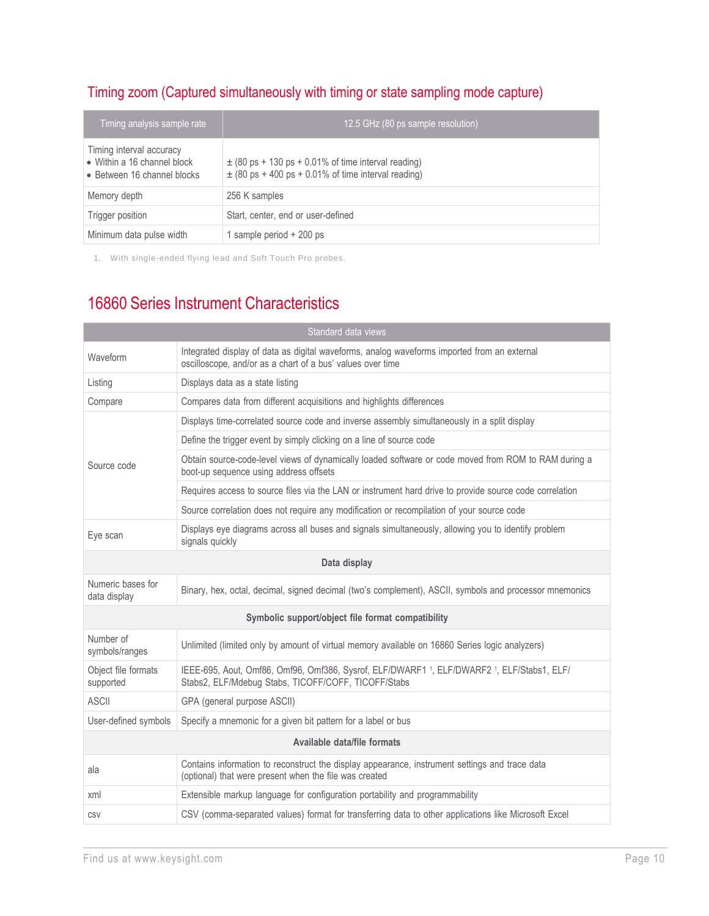## Timing zoom (Captured simultaneously with timing or state sampling mode capture)

| Timing analysis sample rate                                                            | 12.5 GHz (80 ps sample resolution)                                                                                 |
|----------------------------------------------------------------------------------------|--------------------------------------------------------------------------------------------------------------------|
| Timing interval accuracy<br>• Within a 16 channel block<br>• Between 16 channel blocks | $\pm$ (80 ps + 130 ps + 0.01% of time interval reading)<br>$\pm$ (80 ps + 400 ps + 0.01% of time interval reading) |
| Memory depth                                                                           | 256 K samples                                                                                                      |
| Trigger position                                                                       | Start, center, end or user-defined                                                                                 |
| Minimum data pulse width                                                               | 1 sample period + 200 ps                                                                                           |

1. With single-ended flying lead and Soft Touch Pro probes.

## 16860 Series Instrument Characteristics

| Standard data views               |                                                                                                                                                           |  |  |
|-----------------------------------|-----------------------------------------------------------------------------------------------------------------------------------------------------------|--|--|
| Waveform                          | Integrated display of data as digital waveforms, analog waveforms imported from an external<br>oscilloscope, and/or as a chart of a bus' values over time |  |  |
| Listing                           | Displays data as a state listing                                                                                                                          |  |  |
| Compare                           | Compares data from different acquisitions and highlights differences                                                                                      |  |  |
|                                   | Displays time-correlated source code and inverse assembly simultaneously in a split display                                                               |  |  |
|                                   | Define the trigger event by simply clicking on a line of source code                                                                                      |  |  |
| Source code                       | Obtain source-code-level views of dynamically loaded software or code moved from ROM to RAM during a<br>boot-up sequence using address offsets            |  |  |
|                                   | Requires access to source files via the LAN or instrument hard drive to provide source code correlation                                                   |  |  |
|                                   | Source correlation does not require any modification or recompilation of your source code                                                                 |  |  |
| Eye scan                          | Displays eye diagrams across all buses and signals simultaneously, allowing you to identify problem<br>signals quickly                                    |  |  |
| Data display                      |                                                                                                                                                           |  |  |
| Numeric bases for<br>data display | Binary, hex, octal, decimal, signed decimal (two's complement), ASCII, symbols and processor mnemonics                                                    |  |  |
|                                   | Symbolic support/object file format compatibility                                                                                                         |  |  |
| Number of<br>symbols/ranges       | Unlimited (limited only by amount of virtual memory available on 16860 Series logic analyzers)                                                            |  |  |
| Object file formats<br>supported  | IEEE-695, Aout, Omf86, Omf96, Omf386, Sysrof, ELF/DWARF1 1, ELF/DWARF2 1, ELF/Stabs1, ELF/<br>Stabs2, ELF/Mdebug Stabs, TICOFF/COFF, TICOFF/Stabs         |  |  |
| <b>ASCII</b>                      | GPA (general purpose ASCII)                                                                                                                               |  |  |
| User-defined symbols              | Specify a mnemonic for a given bit pattern for a label or bus                                                                                             |  |  |
| Available data/file formats       |                                                                                                                                                           |  |  |
| ala                               | Contains information to reconstruct the display appearance, instrument settings and trace data<br>(optional) that were present when the file was created  |  |  |
| xml                               | Extensible markup language for configuration portability and programmability                                                                              |  |  |
| CSV                               | CSV (comma-separated values) format for transferring data to other applications like Microsoft Excel                                                      |  |  |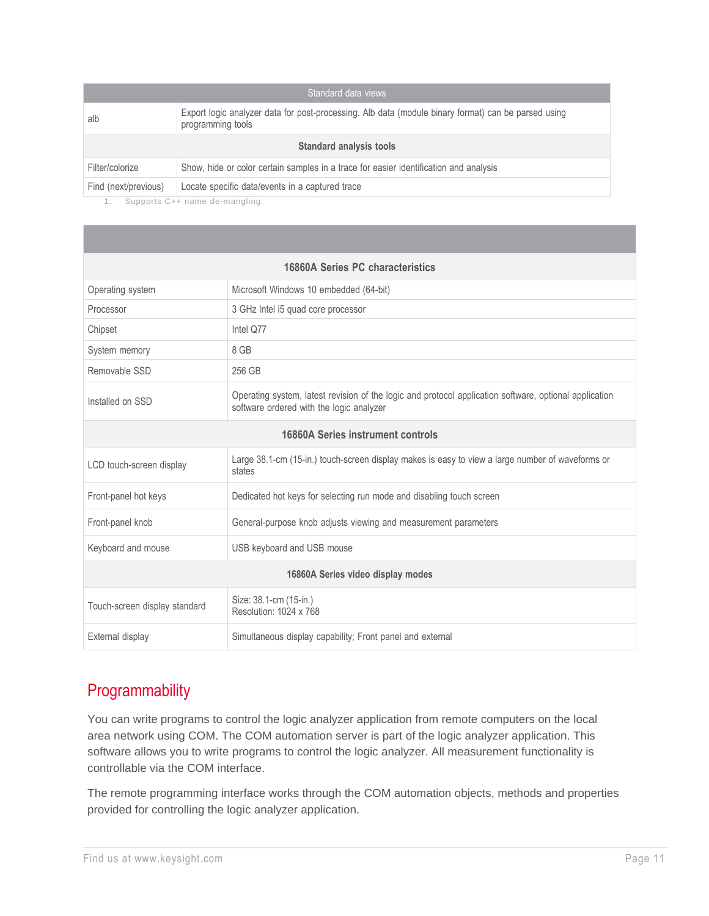| Standard data views     |                                                                                                                          |  |  |
|-------------------------|--------------------------------------------------------------------------------------------------------------------------|--|--|
| alb                     | Export logic analyzer data for post-processing. Alb data (module binary format) can be parsed using<br>programming tools |  |  |
| Standard analysis tools |                                                                                                                          |  |  |
| Filter/colorize         | Show, hide or color certain samples in a trace for easier identification and analysis                                    |  |  |
| Find (next/previous)    | Locate specific data/events in a captured trace                                                                          |  |  |

1. Supports C++ name de-mangling.

| 16860A Series PC characteristics  |                                                                                                                                                    |  |  |
|-----------------------------------|----------------------------------------------------------------------------------------------------------------------------------------------------|--|--|
| Operating system                  | Microsoft Windows 10 embedded (64-bit)                                                                                                             |  |  |
| Processor                         | 3 GHz Intel i5 quad core processor                                                                                                                 |  |  |
| Chipset                           | Intel Q77                                                                                                                                          |  |  |
| System memory                     | 8 GB                                                                                                                                               |  |  |
| Removable SSD                     | 256 GB                                                                                                                                             |  |  |
| Installed on SSD                  | Operating system, latest revision of the logic and protocol application software, optional application<br>software ordered with the logic analyzer |  |  |
| 16860A Series instrument controls |                                                                                                                                                    |  |  |
| LCD touch-screen display          | Large 38.1-cm (15-in.) touch-screen display makes is easy to view a large number of waveforms or<br>states                                         |  |  |
| Front-panel hot keys              | Dedicated hot keys for selecting run mode and disabling touch screen                                                                               |  |  |
| Front-panel knob                  | General-purpose knob adjusts viewing and measurement parameters                                                                                    |  |  |
| Keyboard and mouse                | USB keyboard and USB mouse                                                                                                                         |  |  |
| 16860A Series video display modes |                                                                                                                                                    |  |  |
| Touch-screen display standard     | Size: 38.1-cm (15-in.)<br>Resolution: 1024 x 768                                                                                                   |  |  |
| External display                  | Simultaneous display capability; Front panel and external                                                                                          |  |  |

## **Programmability**

You can write programs to control the logic analyzer application from remote computers on the local area network using COM. The COM automation server is part of the logic analyzer application. This software allows you to write programs to control the logic analyzer. All measurement functionality is controllable via the COM interface.

The remote programming interface works through the COM automation objects, methods and properties provided for controlling the logic analyzer application.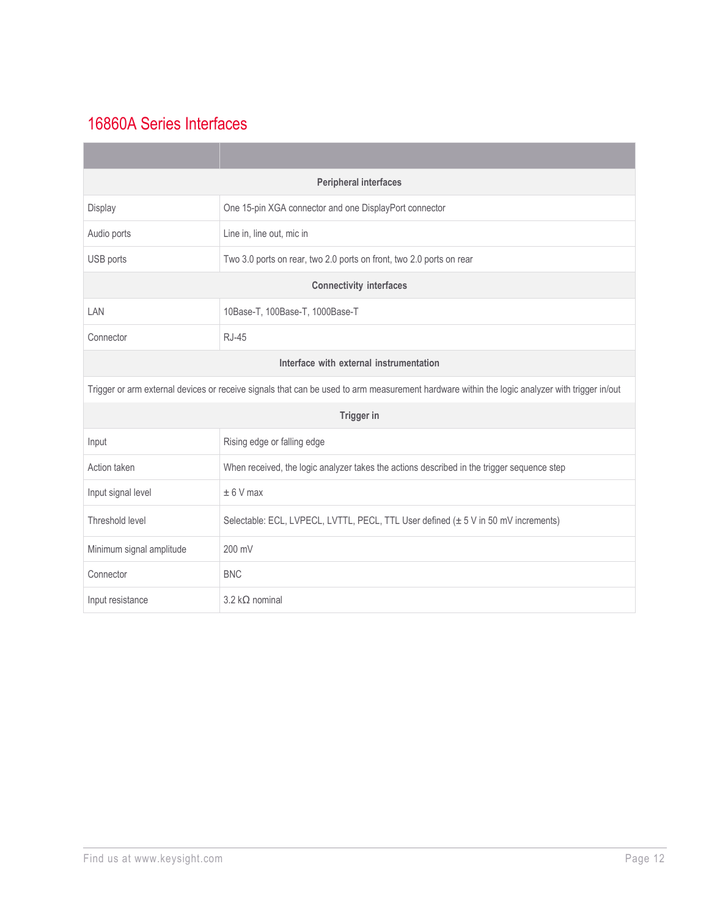## 16860A Series Interfaces

| <b>Peripheral interfaces</b>                                                                          |                                                                                                                                               |  |  |
|-------------------------------------------------------------------------------------------------------|-----------------------------------------------------------------------------------------------------------------------------------------------|--|--|
| Display                                                                                               | One 15-pin XGA connector and one DisplayPort connector                                                                                        |  |  |
| Audio ports                                                                                           | Line in, line out, mic in                                                                                                                     |  |  |
| USB ports                                                                                             | Two 3.0 ports on rear, two 2.0 ports on front, two 2.0 ports on rear                                                                          |  |  |
|                                                                                                       | <b>Connectivity interfaces</b>                                                                                                                |  |  |
| LAN                                                                                                   | 10Base-T, 100Base-T, 1000Base-T                                                                                                               |  |  |
| Connector                                                                                             | <b>RJ-45</b>                                                                                                                                  |  |  |
| Interface with external instrumentation                                                               |                                                                                                                                               |  |  |
|                                                                                                       | Trigger or arm external devices or receive signals that can be used to arm measurement hardware within the logic analyzer with trigger in/out |  |  |
|                                                                                                       | <b>Trigger in</b>                                                                                                                             |  |  |
| Input                                                                                                 | Rising edge or falling edge                                                                                                                   |  |  |
| Action taken                                                                                          | When received, the logic analyzer takes the actions described in the trigger sequence step                                                    |  |  |
| Input signal level                                                                                    | $± 6$ V max                                                                                                                                   |  |  |
| Threshold level<br>Selectable: ECL, LVPECL, LVTTL, PECL, TTL User defined (± 5 V in 50 mV increments) |                                                                                                                                               |  |  |
| Minimum signal amplitude                                                                              | 200 mV                                                                                                                                        |  |  |
| Connector                                                                                             | <b>BNC</b>                                                                                                                                    |  |  |
| Input resistance                                                                                      | $3.2 \, k\Omega$ nominal                                                                                                                      |  |  |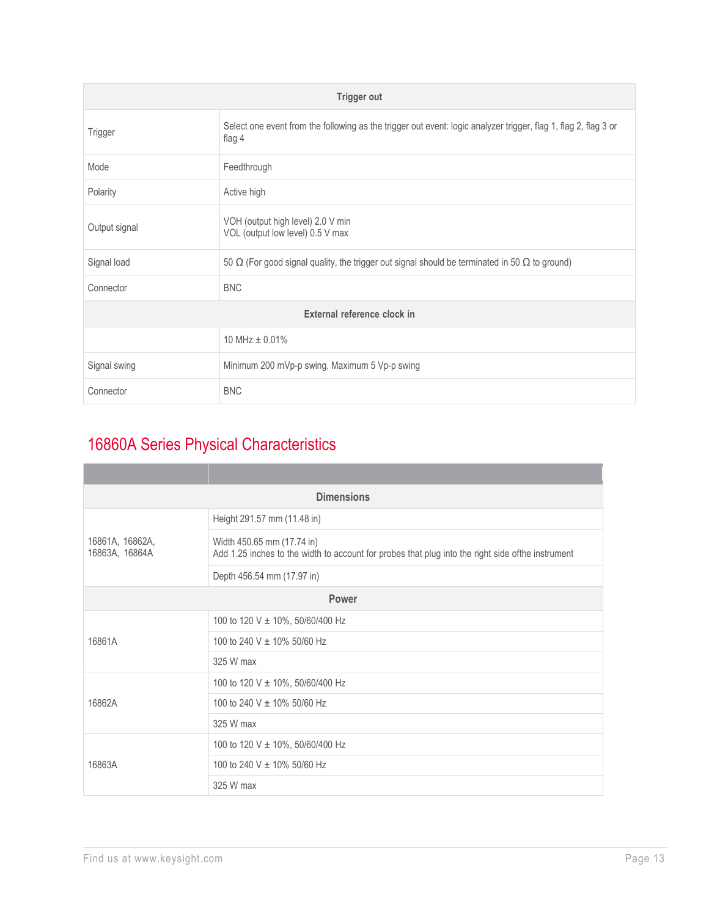| <b>Trigger out</b>          |                                                                                                                           |  |  |
|-----------------------------|---------------------------------------------------------------------------------------------------------------------------|--|--|
| Trigger                     | Select one event from the following as the trigger out event: logic analyzer trigger, flag 1, flag 2, flag 3 or<br>flag 4 |  |  |
| Mode                        | Feedthrough                                                                                                               |  |  |
| Polarity                    | Active high                                                                                                               |  |  |
| Output signal               | VOH (output high level) 2.0 V min<br>VOL (output low level) 0.5 V max                                                     |  |  |
| Signal load                 | 50 $\Omega$ (For good signal quality, the trigger out signal should be terminated in 50 $\Omega$ to ground)               |  |  |
| Connector                   | <b>BNC</b>                                                                                                                |  |  |
| External reference clock in |                                                                                                                           |  |  |
|                             | 10 MHz $\pm$ 0.01%                                                                                                        |  |  |
| Signal swing                | Minimum 200 mVp-p swing, Maximum 5 Vp-p swing                                                                             |  |  |
| Connector                   | <b>BNC</b>                                                                                                                |  |  |

## 16860A Series Physical Characteristics

| <b>Dimensions</b>                 |                                                                                                                                 |  |  |
|-----------------------------------|---------------------------------------------------------------------------------------------------------------------------------|--|--|
|                                   | Height 291.57 mm (11.48 in)                                                                                                     |  |  |
| 16861A, 16862A,<br>16863A, 16864A | Width 450.65 mm (17.74 in)<br>Add 1.25 inches to the width to account for probes that plug into the right side ofthe instrument |  |  |
|                                   | Depth 456.54 mm (17.97 in)                                                                                                      |  |  |
|                                   | <b>Power</b>                                                                                                                    |  |  |
|                                   | 100 to 120 V $\pm$ 10%, 50/60/400 Hz                                                                                            |  |  |
| 16861A                            | 100 to 240 V ± 10% 50/60 Hz                                                                                                     |  |  |
|                                   | 325 W max                                                                                                                       |  |  |
|                                   | 100 to 120 V $\pm$ 10%, 50/60/400 Hz                                                                                            |  |  |
| 16862A                            | 100 to 240 V ± 10% 50/60 Hz                                                                                                     |  |  |
|                                   | 325 W max                                                                                                                       |  |  |
|                                   | 100 to 120 V ± 10%, 50/60/400 Hz                                                                                                |  |  |
| 16863A                            | 100 to 240 V ± 10% 50/60 Hz                                                                                                     |  |  |
|                                   | 325 W max                                                                                                                       |  |  |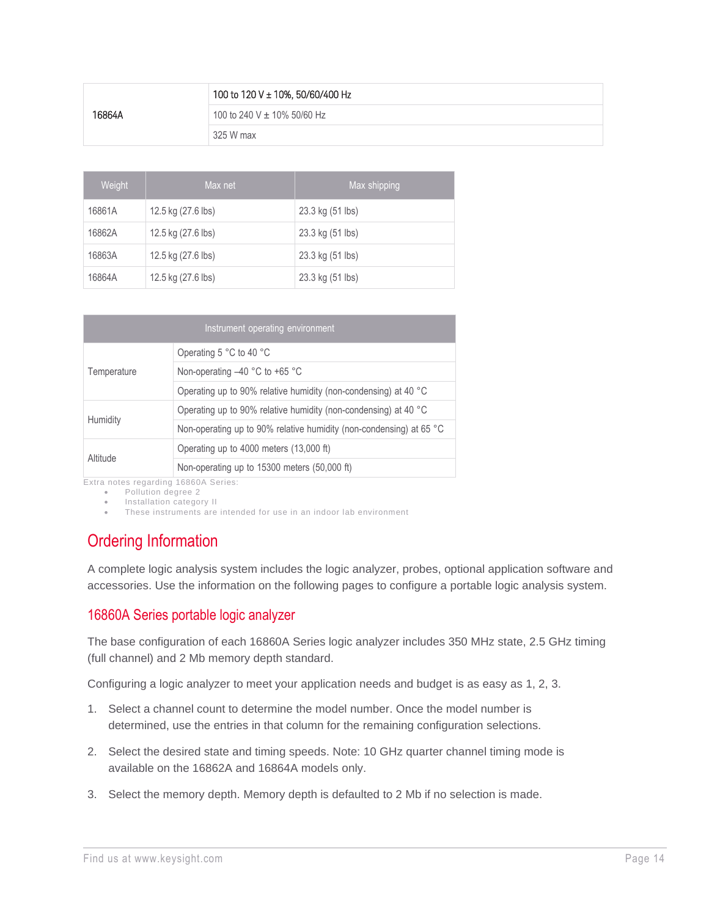|        | 100 to 120 V ± 10%, 50/60/400 Hz |
|--------|----------------------------------|
| 16864A | 100 to 240 V $\pm$ 10% 50/60 Hz  |
|        | 325 W max                        |

| Weight | Max shipping<br>Max net |                  |
|--------|-------------------------|------------------|
| 16861A | 12.5 kg (27.6 lbs)      | 23.3 kg (51 lbs) |
| 16862A | 12.5 kg (27.6 lbs)      | 23.3 kg (51 lbs) |
| 16863A | 12.5 kg (27.6 lbs)      | 23.3 kg (51 lbs) |
| 16864A | 12.5 kg (27.6 lbs)      | 23.3 kg (51 lbs) |

| Instrument operating environment |                                                                              |  |  |
|----------------------------------|------------------------------------------------------------------------------|--|--|
|                                  | Operating 5 °C to 40 °C                                                      |  |  |
| Temperature                      | Non-operating -40 °C to +65 °C                                               |  |  |
|                                  | Operating up to 90% relative humidity (non-condensing) at 40 °C              |  |  |
|                                  | Operating up to 90% relative humidity (non-condensing) at 40 °C              |  |  |
| Humidity                         | Non-operating up to 90% relative humidity (non-condensing) at 65 $\degree$ C |  |  |
| Altitude                         | Operating up to 4000 meters (13,000 ft)                                      |  |  |
|                                  | Non-operating up to 15300 meters (50,000 ft)                                 |  |  |

Extra notes regarding 16860A Series:

- Pollution degree 2
- Installation category II
- These instruments are intended for use in an indoor lab environment

## Ordering Information

A complete logic analysis system includes the logic analyzer, probes, optional application software and accessories. Use the information on the following pages to configure a portable logic analysis system.

#### 16860A Series portable logic analyzer

The base configuration of each 16860A Series logic analyzer includes 350 MHz state, 2.5 GHz timing (full channel) and 2 Mb memory depth standard.

Configuring a logic analyzer to meet your application needs and budget is as easy as 1, 2, 3.

- 1. Select a channel count to determine the model number. Once the model number is determined, use the entries in that column for the remaining configuration selections.
- 2. Select the desired state and timing speeds. Note: 10 GHz quarter channel timing mode is available on the 16862A and 16864A models only.
- 3. Select the memory depth. Memory depth is defaulted to 2 Mb if no selection is made.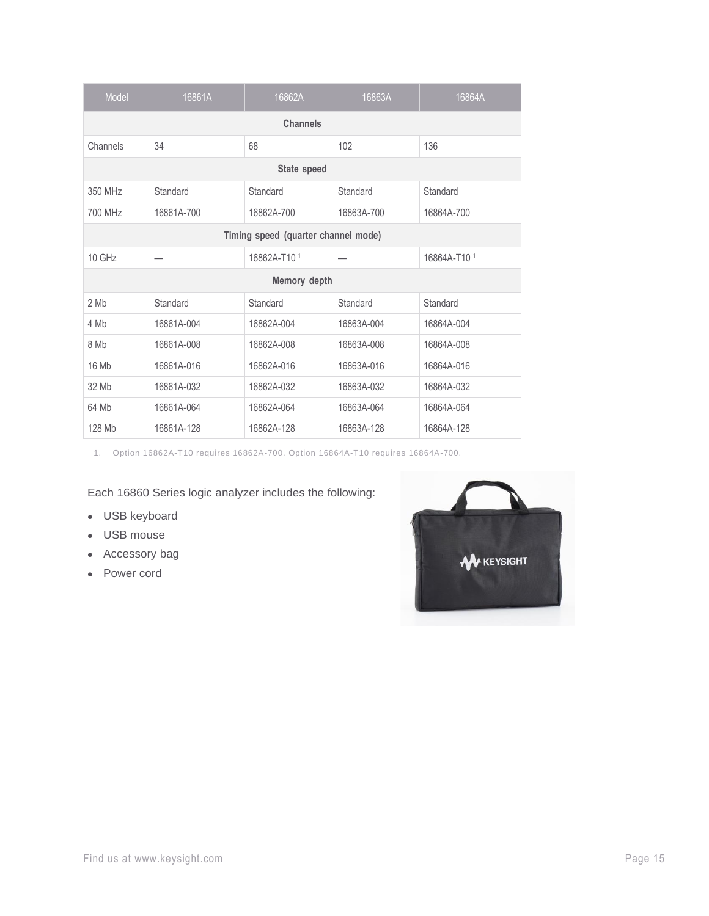| <b>Model</b>                        | 16861A     | 16862A       | 16863A     | 16864A       |
|-------------------------------------|------------|--------------|------------|--------------|
| <b>Channels</b>                     |            |              |            |              |
| Channels                            | 34         | 68           | 102        | 136          |
|                                     |            | State speed  |            |              |
| 350 MHz                             | Standard   | Standard     | Standard   | Standard     |
| 700 MHz                             | 16861A-700 | 16862A-700   | 16863A-700 | 16864A-700   |
| Timing speed (quarter channel mode) |            |              |            |              |
| 10 GHz                              |            | 16862A-T10 1 |            | 16864A-T10 1 |
|                                     |            | Memory depth |            |              |
| 2 Mb                                | Standard   | Standard     | Standard   | Standard     |
| 4 Mb                                | 16861A-004 | 16862A-004   | 16863A-004 | 16864A-004   |
| 8 Mb                                | 16861A-008 | 16862A-008   | 16863A-008 | 16864A-008   |
| 16 Mb                               | 16861A-016 | 16862A-016   | 16863A-016 | 16864A-016   |
| 32 Mb                               | 16861A-032 | 16862A-032   | 16863A-032 | 16864A-032   |
| 64 Mb                               | 16861A-064 | 16862A-064   | 16863A-064 | 16864A-064   |
| 128 Mb                              | 16861A-128 | 16862A-128   | 16863A-128 | 16864A-128   |

1. Option 16862A-T10 requires 16862A-700. Option 16864A-T10 requires 16864A-700.

Each 16860 Series logic analyzer includes the following:

- USB keyboard
- USB mouse
- Accessory bag
- Power cord

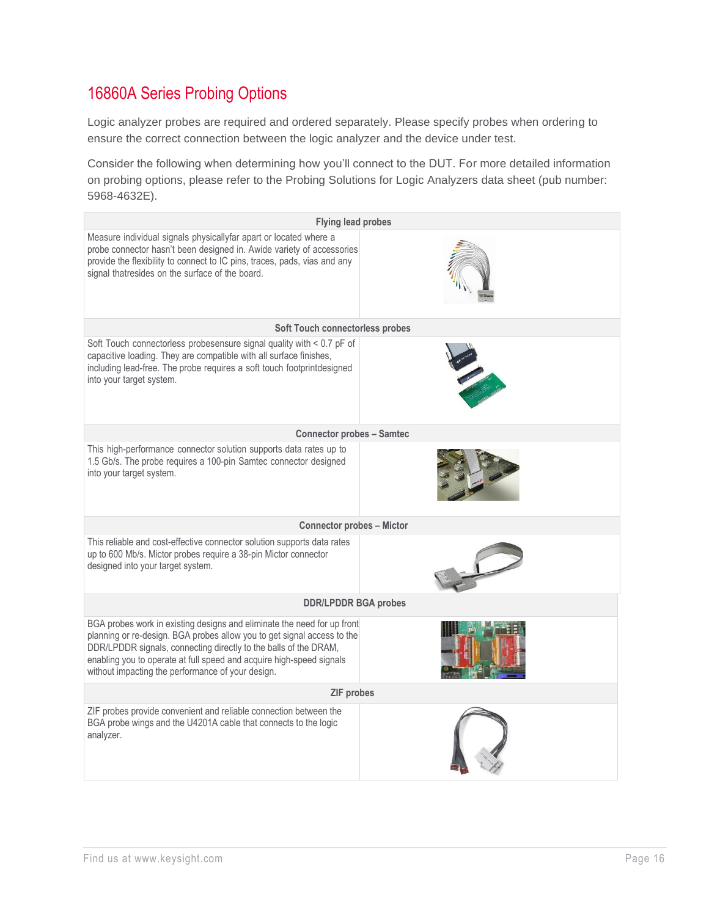## 16860A Series Probing Options

Logic analyzer probes are required and ordered separately. Please specify probes when ordering to ensure the correct connection between the logic analyzer and the device under test.

Consider the following when determining how you'll connect to the DUT. For more detailed information on probing options, please refer to the Probing Solutions for Logic Analyzers data sheet (pub number: 5968-4632E).

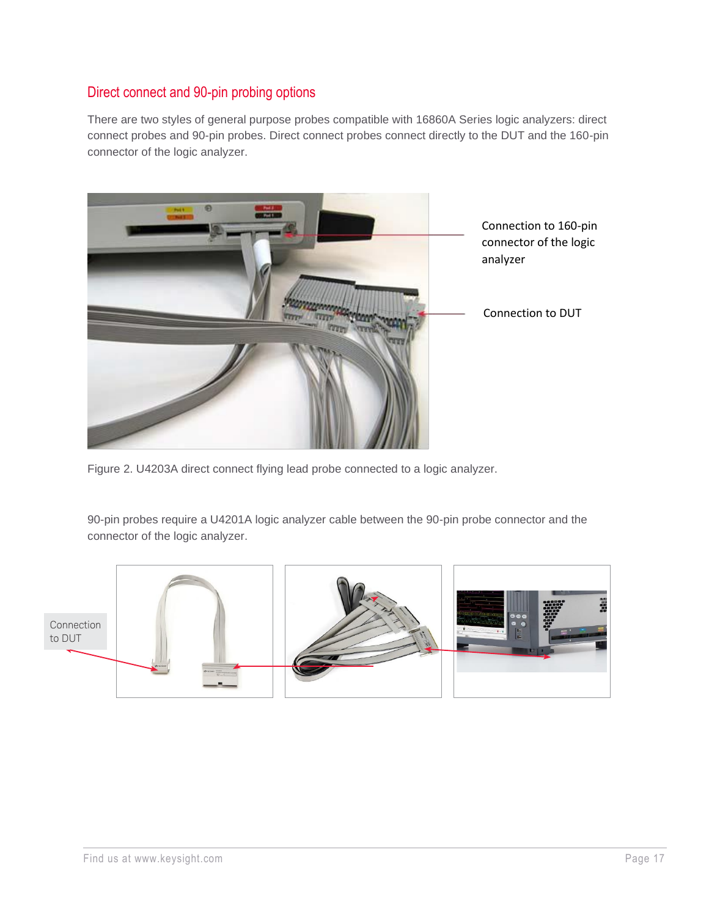#### Direct connect and 90-pin probing options

There are two styles of general purpose probes compatible with 16860A Series logic analyzers: direct connect probes and 90-pin probes. Direct connect probes connect directly to the DUT and the 160-pin connector of the logic analyzer.



Figure 2. U4203A direct connect flying lead probe connected to a logic analyzer.

90-pin probes require a U4201A logic analyzer cable between the 90-pin probe connector and the connector of the logic analyzer.

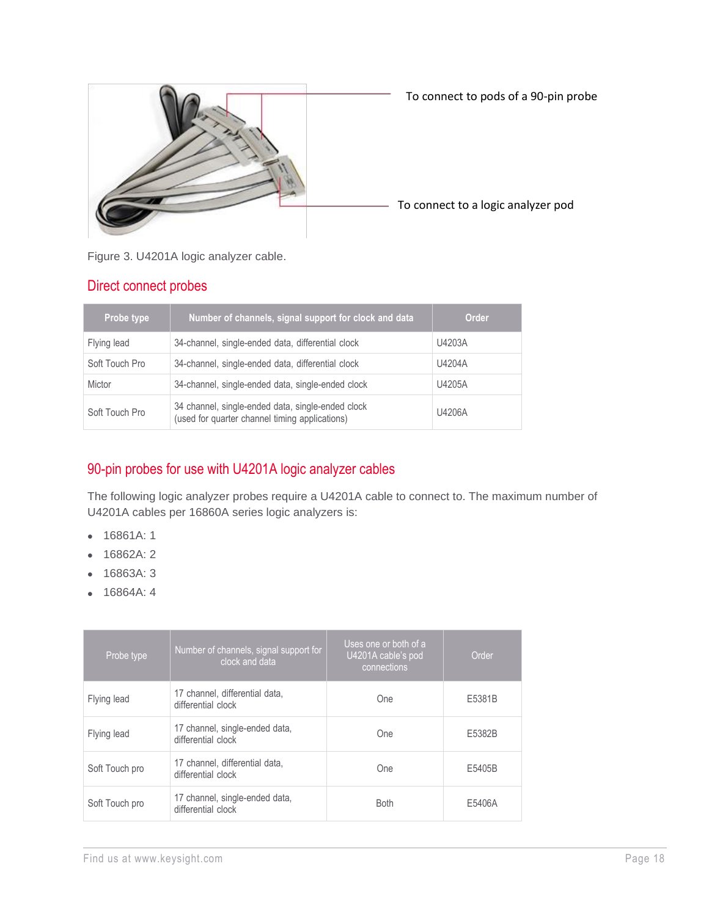

Figure 3. U4201A logic analyzer cable.

#### Direct connect probes

| Probe type     | Number of channels, signal support for clock and data                                               | <b>Order</b> |
|----------------|-----------------------------------------------------------------------------------------------------|--------------|
| Flying lead    | 34-channel, single-ended data, differential clock                                                   | U4203A       |
| Soft Touch Pro | 34-channel, single-ended data, differential clock                                                   | U4204A       |
| Mictor         | 34-channel, single-ended data, single-ended clock                                                   | U4205A       |
| Soft Touch Pro | 34 channel, single-ended data, single-ended clock<br>(used for quarter channel timing applications) | U4206A       |

#### 90-pin probes for use with U4201A logic analyzer cables

The following logic analyzer probes require a U4201A cable to connect to. The maximum number of U4201A cables per 16860A series logic analyzers is:

- 16861A: 1
- 16862A: 2
- 16863A: 3
- 16864A: 4

| Probe type     | Number of channels, signal support for<br>clock and data | Uses one or both of a<br>U4201A cable's pod<br>connections | Order  |
|----------------|----------------------------------------------------------|------------------------------------------------------------|--------|
| Flying lead    | 17 channel, differential data,<br>differential clock     | One                                                        | E5381B |
| Flying lead    | 17 channel, single-ended data,<br>differential clock     | One                                                        | E5382B |
| Soft Touch pro | 17 channel, differential data,<br>differential clock     | One                                                        | E5405B |
| Soft Touch pro | 17 channel, single-ended data,<br>differential clock     | <b>Both</b>                                                | E5406A |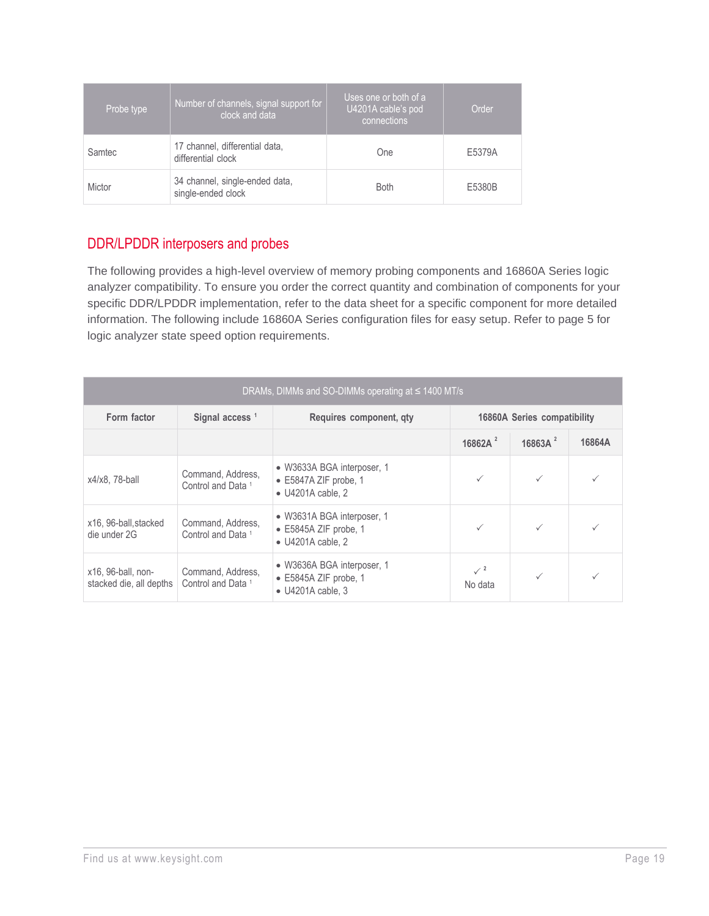| Probe type | Number of channels, signal support for<br>clock and data | Uses one or both of a<br>U4201A cable's pod<br>connections | Order  |
|------------|----------------------------------------------------------|------------------------------------------------------------|--------|
| Samtec     | 17 channel, differential data,<br>differential clock     | One                                                        | E5379A |
| Mictor     | 34 channel, single-ended data,<br>single-ended clock     | <b>Both</b>                                                | E5380B |

#### DDR/LPDDR interposers and probes

The following provides a high-level overview of memory probing components and 16860A Series logic analyzer compatibility. To ensure you order the correct quantity and combination of components for your specific DDR/LPDDR implementation, refer to the data sheet for a specific component for more detailed information. The following include 16860A Series configuration files for easy setup. Refer to page 5 for logic analyzer state speed option requirements.

| DRAMs, DIMMs and SO-DIMMs operating at $\leq$ 1400 MT/s |                                                    |                                                                                          |                             |              |        |
|---------------------------------------------------------|----------------------------------------------------|------------------------------------------------------------------------------------------|-----------------------------|--------------|--------|
| Form factor                                             | Signal access <sup>1</sup>                         | Requires component, qty                                                                  | 16860A Series compatibility |              |        |
|                                                         |                                                    |                                                                                          | 16862A $^2$                 | 16863A $^2$  | 16864A |
| x4/x8, 78-ball                                          | Command, Address,<br>Control and Data <sup>1</sup> | • W3633A BGA interposer, 1<br>$\bullet$ E5847A ZIF probe, 1<br>$\bullet$ U4201A cable, 2 | $\checkmark$                | $\checkmark$ |        |
| x16, 96-ball, stacked<br>die under 2G                   | Command, Address,<br>Control and Data <sup>1</sup> | • W3631A BGA interposer, 1<br>$\bullet$ E5845A ZIF probe, 1<br>$\bullet$ U4201A cable, 2 |                             | $\checkmark$ |        |
| x16, 96-ball, non-<br>stacked die, all depths           | Command, Address,<br>Control and Data <sup>1</sup> | • W3636A BGA interposer, 1<br>$\bullet$ E5845A ZIF probe, 1<br>$\bullet$ U4201A cable, 3 | $\sqrt{2}$<br>No data       |              |        |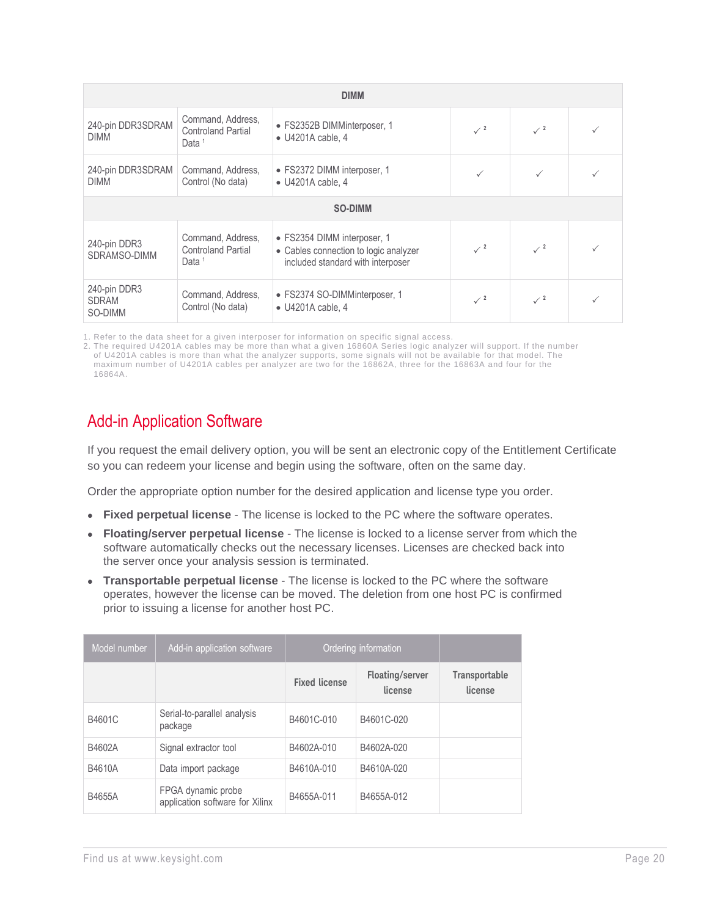| <b>DIMM</b>                             |                                                                     |                                                                                                           |                           |                 |  |
|-----------------------------------------|---------------------------------------------------------------------|-----------------------------------------------------------------------------------------------------------|---------------------------|-----------------|--|
| 240-pin DDR3SDRAM<br><b>DIMM</b>        | Command, Address,<br><b>Controland Partial</b><br>Data <sup>1</sup> | • FS2352B DIMMinterposer, 1<br>$\bullet$ U4201A cable, 4                                                  | $\mathcal{I}^2$           | $\mathcal{I}^2$ |  |
| 240-pin DDR3SDRAM<br><b>DIMM</b>        | Command, Address,<br>Control (No data)                              | • FS2372 DIMM interposer, 1<br>$\bullet$ U4201A cable, 4                                                  |                           |                 |  |
| <b>SO-DIMM</b>                          |                                                                     |                                                                                                           |                           |                 |  |
| 240-pin DDR3<br>SDRAMSO-DIMM            | Command, Address,<br><b>Controland Partial</b><br>Data <sup>1</sup> | · FS2354 DIMM interposer, 1<br>• Cables connection to logic analyzer<br>included standard with interposer | $\mathcal{I}^2$           | $\sqrt{2}$      |  |
| 240-pin DDR3<br><b>SDRAM</b><br>SO-DIMM | Command, Address,<br>Control (No data)                              | • FS2374 SO-DIMMinterposer, 1<br>$\bullet$ U4201A cable, 4                                                | $\checkmark$ <sup>2</sup> | $\mathcal{I}^2$ |  |

1. Refer to the data sheet for a given interposer for information on specific signal access.

2. The required U4201A cables may be more than what a given 16860A Series logic analyzer will support. If the number of U4201A cables is more than what the analyzer supports, some signals will not be available for that model. The maximum number of U4201A cables per analyzer are two for the 16862A, three for the 16863A and four for the 16864A.

#### Add-in Application Software

If you request the email delivery option, you will be sent an electronic copy of the Entitlement Certificate so you can redeem your license and begin using the software, often on the same day.

Order the appropriate option number for the desired application and license type you order.

- **Fixed perpetual license**  The license is locked to the PC where the software operates.
- **Floating/server perpetual license** The license is locked to a license server from which the software automatically checks out the necessary licenses. Licenses are checked back into the server once your analysis session is terminated.
- **Transportable perpetual license** The license is locked to the PC where the software operates, however the license can be moved. The deletion from one host PC is confirmed prior to issuing a license for another host PC.

| Model number | Add-in application software                           | Ordering information |                            |                                 |
|--------------|-------------------------------------------------------|----------------------|----------------------------|---------------------------------|
|              |                                                       | <b>Fixed license</b> | Floating/server<br>license | <b>Transportable</b><br>license |
| B4601C       | Serial-to-parallel analysis<br>package                | B4601C-010           | B4601C-020                 |                                 |
| B4602A       | Signal extractor tool                                 | B4602A-010           | B4602A-020                 |                                 |
| B4610A       | Data import package                                   | B4610A-010           | B4610A-020                 |                                 |
| B4655A       | FPGA dynamic probe<br>application software for Xilinx | B4655A-011           | B4655A-012                 |                                 |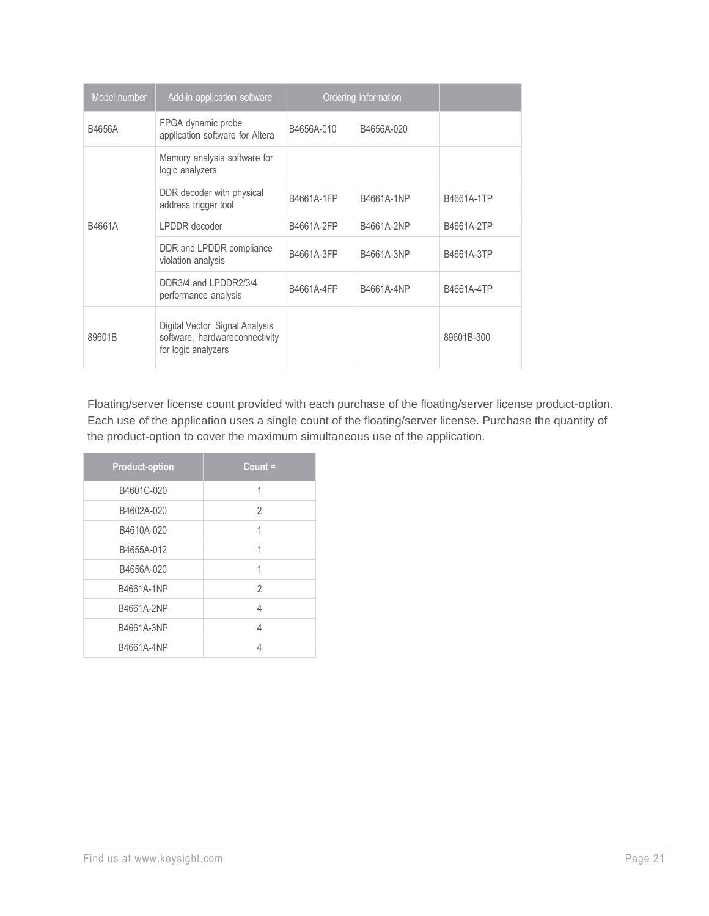| Model number | Add-in application software                                                             |            | Ordering information |            |
|--------------|-----------------------------------------------------------------------------------------|------------|----------------------|------------|
| B4656A       | FPGA dynamic probe<br>application software for Altera                                   | B4656A-010 | B4656A-020           |            |
|              | Memory analysis software for<br>logic analyzers                                         |            |                      |            |
|              | DDR decoder with physical<br>address trigger tool                                       | B4661A-1FP | B4661A-1NP           | B4661A-1TP |
| B4661A       | LPDDR decoder                                                                           | B4661A-2FP | B4661A-2NP           | B4661A-2TP |
|              | DDR and LPDDR compliance<br>violation analysis                                          | B4661A-3FP | B4661A-3NP           | B4661A-3TP |
|              | DDR3/4 and LPDDR2/3/4<br>performance analysis                                           | B4661A-4FP | B4661A-4NP           | B4661A-4TP |
| 89601B       | Digital Vector Signal Analysis<br>software, hardwareconnectivity<br>for logic analyzers |            |                      | 89601B-300 |

Floating/server license count provided with each purchase of the floating/server license product-option. Each use of the application uses a single count of the floating/server license. Purchase the quantity of the product-option to cover the maximum simultaneous use of the application.

| <b>Product-option</b> | Count $=$      |
|-----------------------|----------------|
| B4601C-020            | 1              |
| B4602A-020            | 2              |
| B4610A-020            | 1              |
| B4655A-012            | 1              |
| B4656A-020            | 1              |
| B4661A-1NP            | $\mathfrak{D}$ |
| B4661A-2NP            | 4              |
| B4661A-3NP            | 4              |
| B4661A-4NP            | 4              |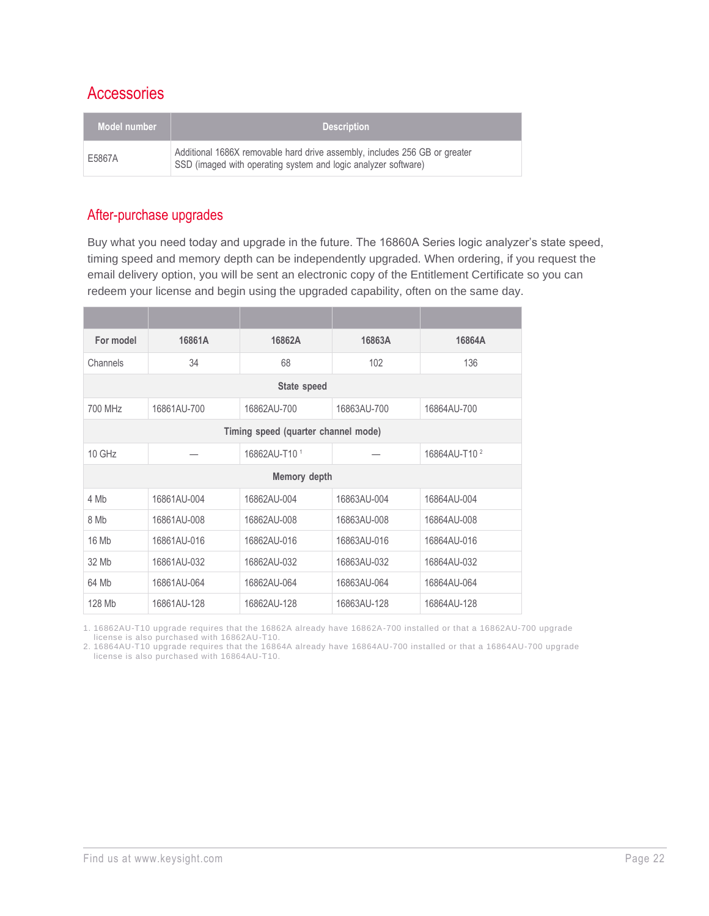#### **Accessories**

| Model number | <b>Description</b>                                                                                                                           |
|--------------|----------------------------------------------------------------------------------------------------------------------------------------------|
| E5867A       | Additional 1686X removable hard drive assembly, includes 256 GB or greater<br>SSD (imaged with operating system and logic analyzer software) |

#### After-purchase upgrades

Buy what you need today and upgrade in the future. The 16860A Series logic analyzer's state speed, timing speed and memory depth can be independently upgraded. When ordering, if you request the email delivery option, you will be sent an electronic copy of the Entitlement Certificate so you can redeem your license and begin using the upgraded capability, often on the same day.

| For model | 16861A       | 16862A                              | 16863A      | 16864A                   |  |
|-----------|--------------|-------------------------------------|-------------|--------------------------|--|
| Channels  | 34           | 68                                  | 102         | 136                      |  |
|           |              | State speed                         |             |                          |  |
| 700 MHz   | 16861AU-700  | 16862AU-700                         | 16863AU-700 | 16864AU-700              |  |
|           |              | Timing speed (quarter channel mode) |             |                          |  |
| 10 GHz    |              | 16862AU-T10 1                       |             | 16864AU-T10 <sup>2</sup> |  |
|           | Memory depth |                                     |             |                          |  |
| 4 Mb      | 16861AU-004  | 16862AU-004                         | 16863AU-004 | 16864AU-004              |  |
| 8 Mb      | 16861AU-008  | 16862AU-008                         | 16863AU-008 | 16864AU-008              |  |
| 16 Mb     | 16861AU-016  | 16862AU-016                         | 16863AU-016 | 16864AU-016              |  |
| 32 Mb     | 16861AU-032  | 16862AU-032                         | 16863AU-032 | 16864AU-032              |  |
| 64 Mb     | 16861AU-064  | 16862AU-064                         | 16863AU-064 | 16864AU-064              |  |
| 128 Mb    | 16861AU-128  | 16862AU-128                         | 16863AU-128 | 16864AU-128              |  |

1. 16862AU-T10 upgrade requires that the 16862A already have 16862A-700 installed or that a 16862AU-700 upgrade

license is also purchased with 16862AU-T10.

2. 16864AU-T10 upgrade requires that the 16864A already have 16864AU-700 installed or that a 16864AU-700 upgrade license is also purchased with 16864AU-T10.